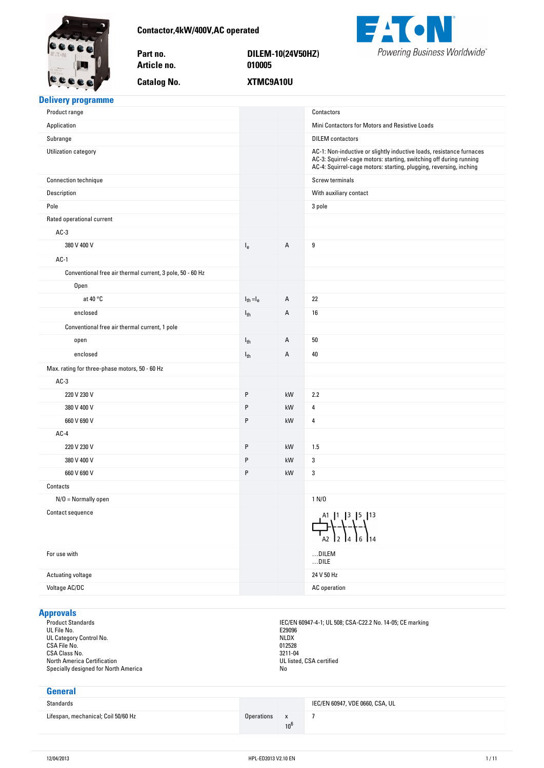<span id="page-0-0"></span>

**Contactor,4kW/400V,AC-operated**

Part no.

Article no.

**Catalog No.** 

**no. DILEM-10(24V50HZ) no. 010005 No. XTMC9A10U**



# **Delivery-programme**

| Application<br>Mini Contactors for Motors and Resistive Loads<br>Subrange<br><b>DILEM</b> contactors<br>Utilization category<br>AC-1: Non-inductive or slightly inductive loads, resistance furnaces<br>AC-3: Squirrel-cage motors: starting, switching off during running<br>AC-4: Squirrel-cage motors: starting, plugging, reversing, inching<br>Screw terminals<br>Connection technique<br>Description<br>With auxiliary contact<br>Pole<br>3 pole<br>Rated operational current<br>$AC-3$<br>380 V 400 V<br>А<br>9<br>$I_e$<br>$AC-1$<br>Conventional free air thermal current, 3 pole, 50 - 60 Hz<br><b>Open</b><br>at $40 °C$<br>22<br>$I_{th} = I_e$<br>Α<br>enclosed<br>А<br>16<br>$I_{th}$<br>Conventional free air thermal current, 1 pole<br>А<br>50<br>$I_{th}$<br>open<br>enclosed<br>Α<br>40<br>$I_{th}$<br>Max. rating for three-phase motors, 50 - 60 Hz<br>$AC-3$<br>P<br>220 V 230 V<br>kW<br>2.2<br>P<br>kW<br>380 V 400 V<br>4<br>660 V 690 V<br>P<br>kW<br>4<br>$AC-4$<br>220 V 230 V<br>P<br>kW<br>1.5<br>P<br>380 V 400 V<br>kW<br>3<br>P<br>660 V 690 V<br>kW<br>3<br>Contacts<br>$N/O = Normally open$<br>1 N/D<br>Contact sequence<br>$1^{41}$ , $1^3$ , $1^5$ , $1^{13}$<br>$\sqrt{2}$ $\sqrt{2}$ $\sqrt{4}$ $\sqrt{6}$ $\sqrt{14}$<br>$\dots$ DILEM<br>For use with<br>$\dots$ DILE<br>24 V 50 Hz<br>Actuating voltage<br>Voltage AC/DC<br>AC operation | Product range |  | Contactors |
|-------------------------------------------------------------------------------------------------------------------------------------------------------------------------------------------------------------------------------------------------------------------------------------------------------------------------------------------------------------------------------------------------------------------------------------------------------------------------------------------------------------------------------------------------------------------------------------------------------------------------------------------------------------------------------------------------------------------------------------------------------------------------------------------------------------------------------------------------------------------------------------------------------------------------------------------------------------------------------------------------------------------------------------------------------------------------------------------------------------------------------------------------------------------------------------------------------------------------------------------------------------------------------------------------------------------------------------------------------------------------------------|---------------|--|------------|
|                                                                                                                                                                                                                                                                                                                                                                                                                                                                                                                                                                                                                                                                                                                                                                                                                                                                                                                                                                                                                                                                                                                                                                                                                                                                                                                                                                                     |               |  |            |
|                                                                                                                                                                                                                                                                                                                                                                                                                                                                                                                                                                                                                                                                                                                                                                                                                                                                                                                                                                                                                                                                                                                                                                                                                                                                                                                                                                                     |               |  |            |
|                                                                                                                                                                                                                                                                                                                                                                                                                                                                                                                                                                                                                                                                                                                                                                                                                                                                                                                                                                                                                                                                                                                                                                                                                                                                                                                                                                                     |               |  |            |
|                                                                                                                                                                                                                                                                                                                                                                                                                                                                                                                                                                                                                                                                                                                                                                                                                                                                                                                                                                                                                                                                                                                                                                                                                                                                                                                                                                                     |               |  |            |
|                                                                                                                                                                                                                                                                                                                                                                                                                                                                                                                                                                                                                                                                                                                                                                                                                                                                                                                                                                                                                                                                                                                                                                                                                                                                                                                                                                                     |               |  |            |
|                                                                                                                                                                                                                                                                                                                                                                                                                                                                                                                                                                                                                                                                                                                                                                                                                                                                                                                                                                                                                                                                                                                                                                                                                                                                                                                                                                                     |               |  |            |
|                                                                                                                                                                                                                                                                                                                                                                                                                                                                                                                                                                                                                                                                                                                                                                                                                                                                                                                                                                                                                                                                                                                                                                                                                                                                                                                                                                                     |               |  |            |
|                                                                                                                                                                                                                                                                                                                                                                                                                                                                                                                                                                                                                                                                                                                                                                                                                                                                                                                                                                                                                                                                                                                                                                                                                                                                                                                                                                                     |               |  |            |
|                                                                                                                                                                                                                                                                                                                                                                                                                                                                                                                                                                                                                                                                                                                                                                                                                                                                                                                                                                                                                                                                                                                                                                                                                                                                                                                                                                                     |               |  |            |
|                                                                                                                                                                                                                                                                                                                                                                                                                                                                                                                                                                                                                                                                                                                                                                                                                                                                                                                                                                                                                                                                                                                                                                                                                                                                                                                                                                                     |               |  |            |
|                                                                                                                                                                                                                                                                                                                                                                                                                                                                                                                                                                                                                                                                                                                                                                                                                                                                                                                                                                                                                                                                                                                                                                                                                                                                                                                                                                                     |               |  |            |
|                                                                                                                                                                                                                                                                                                                                                                                                                                                                                                                                                                                                                                                                                                                                                                                                                                                                                                                                                                                                                                                                                                                                                                                                                                                                                                                                                                                     |               |  |            |
|                                                                                                                                                                                                                                                                                                                                                                                                                                                                                                                                                                                                                                                                                                                                                                                                                                                                                                                                                                                                                                                                                                                                                                                                                                                                                                                                                                                     |               |  |            |
|                                                                                                                                                                                                                                                                                                                                                                                                                                                                                                                                                                                                                                                                                                                                                                                                                                                                                                                                                                                                                                                                                                                                                                                                                                                                                                                                                                                     |               |  |            |
|                                                                                                                                                                                                                                                                                                                                                                                                                                                                                                                                                                                                                                                                                                                                                                                                                                                                                                                                                                                                                                                                                                                                                                                                                                                                                                                                                                                     |               |  |            |
|                                                                                                                                                                                                                                                                                                                                                                                                                                                                                                                                                                                                                                                                                                                                                                                                                                                                                                                                                                                                                                                                                                                                                                                                                                                                                                                                                                                     |               |  |            |
|                                                                                                                                                                                                                                                                                                                                                                                                                                                                                                                                                                                                                                                                                                                                                                                                                                                                                                                                                                                                                                                                                                                                                                                                                                                                                                                                                                                     |               |  |            |
|                                                                                                                                                                                                                                                                                                                                                                                                                                                                                                                                                                                                                                                                                                                                                                                                                                                                                                                                                                                                                                                                                                                                                                                                                                                                                                                                                                                     |               |  |            |
|                                                                                                                                                                                                                                                                                                                                                                                                                                                                                                                                                                                                                                                                                                                                                                                                                                                                                                                                                                                                                                                                                                                                                                                                                                                                                                                                                                                     |               |  |            |
|                                                                                                                                                                                                                                                                                                                                                                                                                                                                                                                                                                                                                                                                                                                                                                                                                                                                                                                                                                                                                                                                                                                                                                                                                                                                                                                                                                                     |               |  |            |
|                                                                                                                                                                                                                                                                                                                                                                                                                                                                                                                                                                                                                                                                                                                                                                                                                                                                                                                                                                                                                                                                                                                                                                                                                                                                                                                                                                                     |               |  |            |
|                                                                                                                                                                                                                                                                                                                                                                                                                                                                                                                                                                                                                                                                                                                                                                                                                                                                                                                                                                                                                                                                                                                                                                                                                                                                                                                                                                                     |               |  |            |
|                                                                                                                                                                                                                                                                                                                                                                                                                                                                                                                                                                                                                                                                                                                                                                                                                                                                                                                                                                                                                                                                                                                                                                                                                                                                                                                                                                                     |               |  |            |
|                                                                                                                                                                                                                                                                                                                                                                                                                                                                                                                                                                                                                                                                                                                                                                                                                                                                                                                                                                                                                                                                                                                                                                                                                                                                                                                                                                                     |               |  |            |
|                                                                                                                                                                                                                                                                                                                                                                                                                                                                                                                                                                                                                                                                                                                                                                                                                                                                                                                                                                                                                                                                                                                                                                                                                                                                                                                                                                                     |               |  |            |
|                                                                                                                                                                                                                                                                                                                                                                                                                                                                                                                                                                                                                                                                                                                                                                                                                                                                                                                                                                                                                                                                                                                                                                                                                                                                                                                                                                                     |               |  |            |
|                                                                                                                                                                                                                                                                                                                                                                                                                                                                                                                                                                                                                                                                                                                                                                                                                                                                                                                                                                                                                                                                                                                                                                                                                                                                                                                                                                                     |               |  |            |
|                                                                                                                                                                                                                                                                                                                                                                                                                                                                                                                                                                                                                                                                                                                                                                                                                                                                                                                                                                                                                                                                                                                                                                                                                                                                                                                                                                                     |               |  |            |
|                                                                                                                                                                                                                                                                                                                                                                                                                                                                                                                                                                                                                                                                                                                                                                                                                                                                                                                                                                                                                                                                                                                                                                                                                                                                                                                                                                                     |               |  |            |
|                                                                                                                                                                                                                                                                                                                                                                                                                                                                                                                                                                                                                                                                                                                                                                                                                                                                                                                                                                                                                                                                                                                                                                                                                                                                                                                                                                                     |               |  |            |
|                                                                                                                                                                                                                                                                                                                                                                                                                                                                                                                                                                                                                                                                                                                                                                                                                                                                                                                                                                                                                                                                                                                                                                                                                                                                                                                                                                                     |               |  |            |
|                                                                                                                                                                                                                                                                                                                                                                                                                                                                                                                                                                                                                                                                                                                                                                                                                                                                                                                                                                                                                                                                                                                                                                                                                                                                                                                                                                                     |               |  |            |

# **Approvals**

UL File No. E29096 UL Category Control No. No. 2008. The control of the control of the control of the control of the control of the control of the control of the control of the control of the control of the control of the control of the cont  $C$ SA File No. 012528  $C$ SA Class No. 3211-04 North America Certification **No. 1998** No. 1999 No. 1999 No. 1999 No. 1999 No. 1999 No. 1999 No. 1999 No. 1999 N Specially designed for North America No. 2008. The Specially designed for North America No.

Product Standards IEC/EN 60947-4-1; UL 508; CSA-C22.2 No. 14-05; CE marking

| General                             |            |                        |                                 |
|-------------------------------------|------------|------------------------|---------------------------------|
| Standards                           |            |                        | IEC/EN 60947, VDE 0660, CSA, UL |
| Lifespan, mechanical; Coil 50/60 Hz | Operations | $\mathbf{x}$<br>$10^6$ |                                 |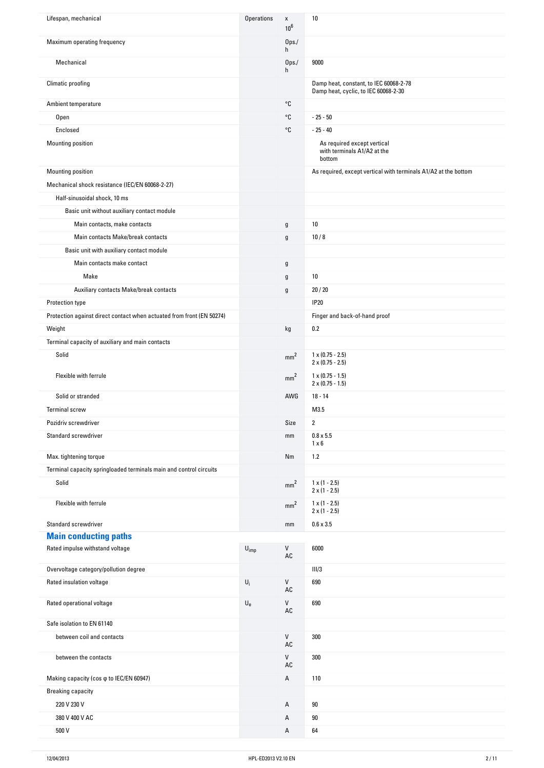| Lifespan, mechanical                                                  | <b>Operations</b>         | $\pmb{\mathsf{x}}$<br>$10^6$ | $10\,$                                                                         |
|-----------------------------------------------------------------------|---------------------------|------------------------------|--------------------------------------------------------------------------------|
| Maximum operating frequency                                           |                           | 0 <sub>ps</sub><br>h         |                                                                                |
| Mechanical                                                            |                           | 0 <sub>ps</sub><br>h         | 9000                                                                           |
| Climatic proofing                                                     |                           |                              | Damp heat, constant, to IEC 60068-2-78<br>Damp heat, cyclic, to IEC 60068-2-30 |
| Ambient temperature                                                   |                           | °C                           |                                                                                |
| <b>Open</b>                                                           |                           | °C                           | $-25 - 50$                                                                     |
| Enclosed                                                              |                           | °C                           | $-25 - 40$                                                                     |
| Mounting position                                                     |                           |                              | As required except vertical<br>with terminals A1/A2 at the<br>bottom           |
| Mounting position                                                     |                           |                              | As required, except vertical with terminals A1/A2 at the bottom                |
| Mechanical shock resistance (IEC/EN 60068-2-27)                       |                           |                              |                                                                                |
| Half-sinusoidal shock, 10 ms                                          |                           |                              |                                                                                |
| Basic unit without auxiliary contact module                           |                           |                              |                                                                                |
| Main contacts, make contacts                                          |                           | g                            | 10                                                                             |
| Main contacts Make/break contacts                                     |                           | g                            | 10/8                                                                           |
| Basic unit with auxiliary contact module                              |                           |                              |                                                                                |
| Main contacts make contact                                            |                           | g                            |                                                                                |
| Make                                                                  |                           | g                            | 10                                                                             |
| Auxiliary contacts Make/break contacts                                |                           | g                            | 20/20                                                                          |
| Protection type                                                       |                           |                              | <b>IP20</b>                                                                    |
| Protection against direct contact when actuated from front (EN 50274) |                           |                              | Finger and back-of-hand proof                                                  |
| Weight                                                                |                           | kg                           | 0.2                                                                            |
| Terminal capacity of auxiliary and main contacts                      |                           |                              |                                                                                |
| Solid                                                                 |                           | mm <sup>2</sup>              | $1 \times (0.75 - 2.5)$<br>$2 \times (0.75 - 2.5)$                             |
| Flexible with ferrule                                                 |                           | mm <sup>2</sup>              | $1 \times (0.75 - 1.5)$<br>$2 \times (0.75 - 1.5)$                             |
| Solid or stranded                                                     |                           | AWG                          | $18 - 14$                                                                      |
| <b>Terminal screw</b>                                                 |                           |                              | M3.5                                                                           |
| Pozidriv screwdriver                                                  |                           | Size                         | $\overline{2}$                                                                 |
| Standard screwdriver                                                  |                           | mm                           | $0.8 \times 5.5$<br>$1 \times 6$                                               |
| Max. tightening torque                                                |                           | Nm                           | 1.2                                                                            |
| Terminal capacity springloaded terminals main and control circuits    |                           |                              |                                                                                |
| Solid                                                                 |                           | mm <sup>2</sup>              | $1 \times (1 - 2.5)$<br>$2 \times (1 - 2.5)$                                   |
| Flexible with ferrule                                                 |                           | mm <sup>2</sup>              | $1 \times (1 - 2.5)$<br>$2 \times (1 - 2.5)$                                   |
| Standard screwdriver                                                  |                           | mm                           | $0.6 \times 3.5$                                                               |
| <b>Main conducting paths</b>                                          |                           |                              |                                                                                |
| Rated impulse withstand voltage                                       | $U_{imp}$                 | V<br>AC                      | 6000                                                                           |
| Overvoltage category/pollution degree                                 |                           |                              | III/3                                                                          |
| Rated insulation voltage                                              | $\mathsf{U}_\mathsf{i}$   | V<br>AC                      | 690                                                                            |
| Rated operational voltage                                             | $\mathsf{U}_{\mathsf{e}}$ | $\mathsf{V}$<br>AC           | 690                                                                            |
| Safe isolation to EN 61140                                            |                           |                              |                                                                                |
| between coil and contacts                                             |                           | V<br>AC                      | 300                                                                            |
| between the contacts                                                  |                           | ${\sf V}$<br>AC              | 300                                                                            |
| Making capacity (cos φ to IEC/EN 60947)                               |                           | A                            | 110                                                                            |
| <b>Breaking capacity</b>                                              |                           |                              |                                                                                |
| 220 V 230 V                                                           |                           | А                            | 90                                                                             |
| 380 V 400 V AC                                                        |                           | Α                            | $90\,$                                                                         |
| 500 V                                                                 |                           | Α                            | 64                                                                             |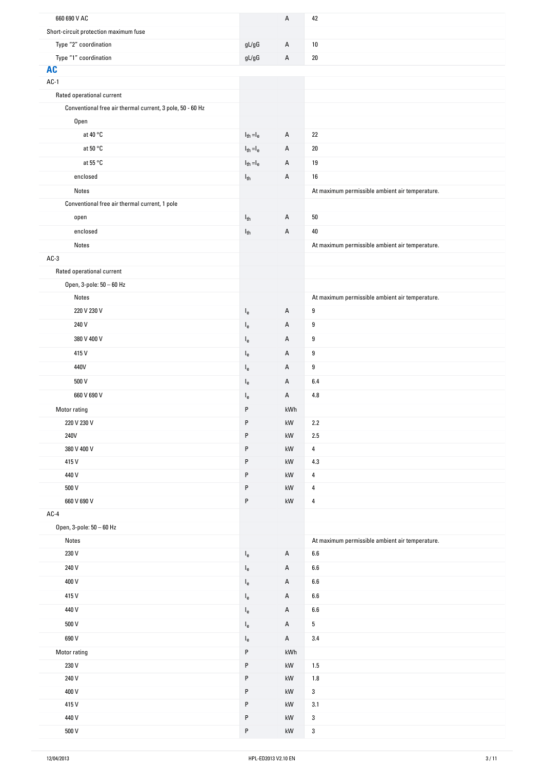| 660 690 V AC                                              |                                                     | А                      | 42                                              |
|-----------------------------------------------------------|-----------------------------------------------------|------------------------|-------------------------------------------------|
| Short-circuit protection maximum fuse                     |                                                     |                        |                                                 |
| Type "2" coordination                                     | $\mathfrak{g} \mathsf{L} / \mathfrak{g} \mathsf{G}$ | A                      | $10\,$                                          |
| Type "1" coordination                                     | $\mathsf{g}\mathsf{L}/\mathsf{g}\mathsf{G}$         | А                      | $20\,$                                          |
| <b>AC</b>                                                 |                                                     |                        |                                                 |
| $AC-1$                                                    |                                                     |                        |                                                 |
| Rated operational current                                 |                                                     |                        |                                                 |
| Conventional free air thermal current, 3 pole, 50 - 60 Hz |                                                     |                        |                                                 |
| Open                                                      |                                                     |                        |                                                 |
| at 40 °C                                                  | $I_{th} = I_e$                                      | Α                      | 22                                              |
| at $50 °C$                                                | $I_{th} = I_e$                                      | А                      | 20                                              |
| at 55 °C                                                  | $I_{th} = I_e$                                      | A                      | 19                                              |
| enclosed                                                  | $I_{th}$                                            | А                      | 16                                              |
| Notes                                                     |                                                     |                        | At maximum permissible ambient air temperature. |
| Conventional free air thermal current, 1 pole             |                                                     |                        |                                                 |
| open                                                      | $I_{th}$                                            | A                      | $50\,$                                          |
| enclosed                                                  | $I_{th}$                                            | А                      | 40                                              |
| Notes                                                     |                                                     |                        | At maximum permissible ambient air temperature. |
| $AC-3$                                                    |                                                     |                        |                                                 |
| Rated operational current                                 |                                                     |                        |                                                 |
| Open, 3-pole: 50 - 60 Hz                                  |                                                     |                        |                                                 |
| Notes                                                     |                                                     |                        | At maximum permissible ambient air temperature. |
| 220 V 230 V                                               | $I_{e}$                                             | A                      | $\boldsymbol{9}$                                |
| 240 V                                                     | $I_{e}$                                             | Α                      | 9                                               |
| 380 V 400 V                                               | $I_{e}$                                             | А                      | $\boldsymbol{9}$                                |
| 415V                                                      | $I_{e}$                                             | А                      | 9                                               |
| 440V                                                      | $I_{e}$                                             | А                      | 9                                               |
| 500 V                                                     | $I_{e}$                                             | Α                      | 6.4                                             |
| 660 V 690 V                                               | $I_{e}$                                             | А                      | 4.8                                             |
| Motor rating                                              | P                                                   | kWh                    |                                                 |
| 220 V 230 V                                               | P                                                   | $\mathsf{k}\mathsf{W}$ | $2.2\,$                                         |
| 240V                                                      | P                                                   | kW                     | $2.5\,$                                         |
| 380 V 400 V                                               | P                                                   | kW                     | 4                                               |
| 415V                                                      | P                                                   | kW                     | 4.3                                             |
| 440 V                                                     | P                                                   | kW                     | $\overline{\mathbf{4}}$                         |
| 500 V                                                     | P                                                   | kW                     | 4                                               |
| 660 V 690 V                                               | P                                                   | kW                     | 4                                               |
| $AC-4$                                                    |                                                     |                        |                                                 |
| Open, 3-pole: 50 - 60 Hz<br>Notes                         |                                                     |                        | At maximum permissible ambient air temperature. |
| 230 V                                                     | $\mathsf{I}_{\mathsf{e}}$                           | A                      | $6.6\,$                                         |
| 240 V                                                     | $I_{e}$                                             | Α                      | $6.6\,$                                         |
| 400 V                                                     | $\mathsf{I}_{\mathsf{e}}$                           | Α                      | $6.6\,$                                         |
| 415V                                                      |                                                     | A                      | $6.6\,$                                         |
|                                                           | $I_e$                                               |                        |                                                 |
| 440 V                                                     | $I_{e}$                                             | A                      | $6.6\,$                                         |
| 500 V                                                     | $I_e$                                               | А                      | 5                                               |
| 690 V                                                     | $I_{e}$                                             | A                      | 3.4                                             |
| Motor rating                                              | P                                                   | kWh                    |                                                 |
| 230 V                                                     | P                                                   | kW                     | 1.5                                             |
| 240 V<br>400 V                                            | P<br>P                                              | kW<br>kW               | $1.8\,$<br>$\mathbf{3}$                         |
| 415V                                                      | P                                                   | kW                     | $3.1\,$                                         |
| 440 V                                                     | P                                                   | kW                     | 3                                               |
| 500 V                                                     | ${\sf P}$                                           | $\mathsf{k}\mathsf{W}$ | $\mathbf{3}$                                    |
|                                                           |                                                     |                        |                                                 |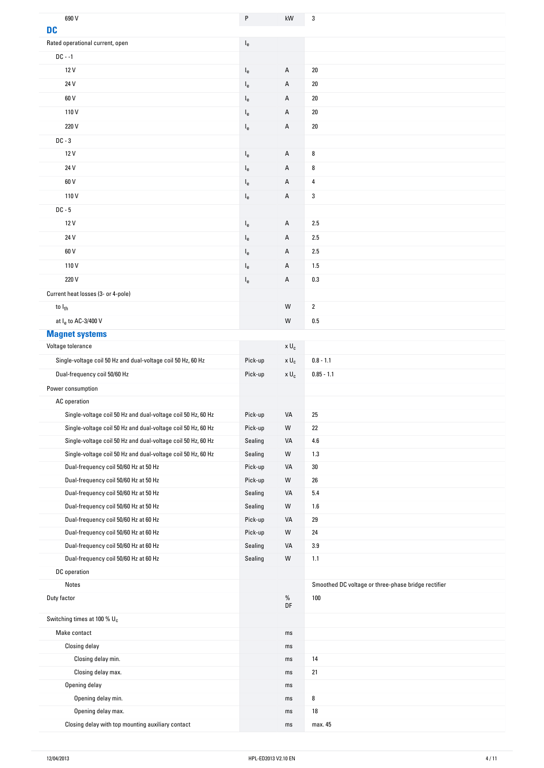| 690 V                                                        | P                         | kW                    | 3                                                   |
|--------------------------------------------------------------|---------------------------|-----------------------|-----------------------------------------------------|
| <b>DC</b>                                                    |                           |                       |                                                     |
| Rated operational current, open                              | $\mathsf{I}_{\mathsf{e}}$ |                       |                                                     |
| $DC - -1$                                                    |                           |                       |                                                     |
| 12 V                                                         | $I_{e}$                   | Α                     | $20\,$                                              |
| 24 V                                                         | $I_{e}$                   | А                     | $20\,$                                              |
| 60 V                                                         | $I_{e}$                   | А                     | 20                                                  |
| 110V                                                         | $I_{e}$                   | Α                     | $20\,$                                              |
| 220 V                                                        | $I_e$                     | Α                     | $20\,$                                              |
| $DC - 3$                                                     |                           |                       |                                                     |
| 12 V                                                         | $I_e$                     | Α                     | 8                                                   |
| 24 V                                                         | $I_e$                     | Α                     | 8                                                   |
| 60 V                                                         | $I_e$                     | Α                     | 4                                                   |
| 110V                                                         | $I_e$                     | Α                     | 3                                                   |
| DC - 5                                                       |                           |                       |                                                     |
| 12 V                                                         | $I_e$                     | Α                     | 2.5                                                 |
| 24 V                                                         | $I_{e}$                   | А                     | 2.5                                                 |
| 60 V                                                         | $\mathsf{I}_{\mathsf{e}}$ | А                     | 2.5                                                 |
| 110V                                                         | $I_e$                     | Α                     | 1.5                                                 |
| 220 V                                                        | $I_e$                     | Α                     | 0.3                                                 |
| Current heat losses (3- or 4-pole)                           |                           |                       |                                                     |
| to I <sub>th</sub>                                           |                           | W                     | $\overline{2}$                                      |
| at Ie to AC-3/400 V                                          |                           | W                     | 0.5                                                 |
| <b>Magnet systems</b>                                        |                           |                       |                                                     |
| Voltage tolerance                                            |                           | $\times$ U $_{\rm c}$ |                                                     |
| Single-voltage coil 50 Hz and dual-voltage coil 50 Hz, 60 Hz | Pick-up                   | x U <sub>c</sub>      | $0.8 - 1.1$                                         |
| Dual-frequency coil 50/60 Hz                                 | Pick-up                   | x U <sub>c</sub>      | $0.85 - 1.1$                                        |
| Power consumption                                            |                           |                       |                                                     |
| AC operation                                                 |                           |                       |                                                     |
| Single-voltage coil 50 Hz and dual-voltage coil 50 Hz, 60 Hz | Pick-up                   | VA                    | 25                                                  |
| Single-voltage coil 50 Hz and dual-voltage coil 50 Hz, 60 Hz | Pick-up                   | W                     | 22                                                  |
| Single-voltage coil 50 Hz and dual-voltage coil 50 Hz, 60 Hz | Sealing                   | VA                    | 4.6                                                 |
|                                                              |                           |                       |                                                     |
| Single-voltage coil 50 Hz and dual-voltage coil 50 Hz, 60 Hz | Sealing                   | W                     | 1.3                                                 |
| Dual-frequency coil 50/60 Hz at 50 Hz                        | Pick-up                   | VA                    | 30                                                  |
| Dual-frequency coil 50/60 Hz at 50 Hz                        | Pick-up                   | W                     | ${\bf 26}$                                          |
| Dual-frequency coil 50/60 Hz at 50 Hz                        | Sealing                   | VA                    | 5.4                                                 |
| Dual-frequency coil 50/60 Hz at 50 Hz                        | Sealing                   | W                     | 1.6                                                 |
| Dual-frequency coil 50/60 Hz at 60 Hz                        | Pick-up                   | VA                    | 29                                                  |
| Dual-frequency coil 50/60 Hz at 60 Hz                        | Pick-up                   | W                     | 24                                                  |
| Dual-frequency coil 50/60 Hz at 60 Hz                        | Sealing                   | VA                    | $3.9\,$                                             |
| Dual-frequency coil 50/60 Hz at 60 Hz                        | Sealing                   | W                     | 1.1                                                 |
| DC operation                                                 |                           |                       |                                                     |
| Notes                                                        |                           |                       | Smoothed DC voltage or three-phase bridge rectifier |
| Duty factor                                                  |                           | $\%$<br>DF            | 100                                                 |
|                                                              |                           |                       |                                                     |
| Switching times at 100 % U <sub>c</sub><br>Make contact      |                           | ms                    |                                                     |
| Closing delay                                                |                           | ms                    |                                                     |
|                                                              |                           | ms                    | 14                                                  |
| Closing delay min.<br>Closing delay max.                     |                           | ms                    | 21                                                  |
| Opening delay                                                |                           | ms                    |                                                     |
| Opening delay min.                                           |                           | ms                    | 8                                                   |
| Opening delay max.                                           |                           | ms                    | $18\,$                                              |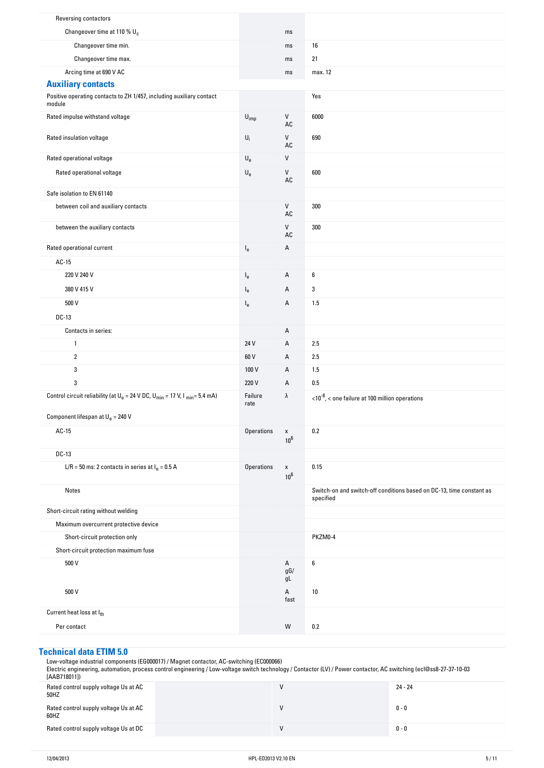| <b>Reversing contactors</b>                                                             |                           |                              |                                                                                   |
|-----------------------------------------------------------------------------------------|---------------------------|------------------------------|-----------------------------------------------------------------------------------|
| Changeover time at 110 % U <sub>c</sub>                                                 |                           | ms                           |                                                                                   |
| Changeover time min.                                                                    |                           | ms                           | 16                                                                                |
| Changeover time max.                                                                    |                           | ms                           | 21                                                                                |
| Arcing time at 690 V AC                                                                 |                           | ms                           | max. 12                                                                           |
| <b>Auxiliary contacts</b>                                                               |                           |                              |                                                                                   |
| Positive operating contacts to ZH 1/457, including auxiliary contact<br>module          |                           |                              | Yes                                                                               |
| Rated impulse withstand voltage                                                         | $U_{imp}$                 | V<br>AC                      | 6000                                                                              |
| Rated insulation voltage                                                                | $\mathsf{U}_i$            | ${\sf V}$<br>AC              | 690                                                                               |
| Rated operational voltage                                                               | $\mathsf{U}_{\mathsf{e}}$ | V                            |                                                                                   |
| Rated operational voltage                                                               | $\mathsf{U}_{\mathsf{e}}$ | V<br>$\mathsf{A}\mathsf{C}$  | 600                                                                               |
| Safe isolation to EN 61140                                                              |                           |                              |                                                                                   |
| between coil and auxiliary contacts                                                     |                           | V<br>AC                      | 300                                                                               |
| between the auxiliary contacts                                                          |                           | V<br>AC                      | 300                                                                               |
| Rated operational current                                                               | $I_e$                     | А                            |                                                                                   |
| AC-15                                                                                   |                           |                              |                                                                                   |
| 220 V 240 V                                                                             | $I_e$                     | А                            | 6                                                                                 |
| 380 V 415 V                                                                             | $I_e$                     | А                            | 3                                                                                 |
| 500 V                                                                                   | $I_e$                     | А                            | 1.5                                                                               |
| DC-13                                                                                   |                           |                              |                                                                                   |
| Contacts in series:                                                                     |                           | А                            |                                                                                   |
| $\mathbf{1}$                                                                            | 24 V                      | А                            | 2.5                                                                               |
| $\overline{2}$                                                                          | 60 V                      | A                            | 2.5                                                                               |
| 3                                                                                       | 100 V                     | А                            | 1.5                                                                               |
| 3                                                                                       | 220 V                     | А                            | 0.5                                                                               |
| Control circuit reliability (at $U_e = 24$ V DC, $U_{min} = 17$ V, I $_{min} = 5.4$ mA) | Failure<br>rate           | λ                            | $<$ 10 <sup>-8</sup> , < one failure at 100 million operations                    |
| Component lifespan at $U_e = 240$ V                                                     |                           |                              |                                                                                   |
| AC-15                                                                                   | <b>Operations</b>         | $\pmb{\mathsf{X}}$<br>$10^6$ | 0.2                                                                               |
| DC-13                                                                                   |                           |                              |                                                                                   |
| L/R = 50 ms: 2 contacts in series at $I_e$ = 0.5 A                                      | Operations                | $\pmb{\mathsf{X}}$<br>$10^6$ | 0.15                                                                              |
| Notes                                                                                   |                           |                              | Switch-on and switch-off conditions based on DC-13, time constant as<br>specified |
| Short-circuit rating without welding                                                    |                           |                              |                                                                                   |
| Maximum overcurrent protective device                                                   |                           |                              |                                                                                   |
| Short-circuit protection only                                                           |                           |                              | PKZM0-4                                                                           |
| Short-circuit protection maximum fuse                                                   |                           |                              |                                                                                   |
| 500 V                                                                                   |                           | Α<br>gG/<br>gL               | $\boldsymbol{6}$                                                                  |
| 500 V                                                                                   |                           | $\mathsf A$<br>fast          | $10\,$                                                                            |
| Current heat loss at Ith                                                                |                           |                              |                                                                                   |
| Per contact                                                                             |                           | W                            | 0.2                                                                               |

## **Technical-data-ETIM-5.0**

Low-voltage industrial components (EG000017) / Magnet contactor, AC-switching (EC000066)

Electric engineering, automation, process control engineering / Low-voltage switch technology / Contactor (LV) / Power contactor, AC switching (ecl@ss8-27-37-10-03 [AAB718011])

| Rated control supply voltage Us at AC<br>50HZ |  | $24 - 24$ |
|-----------------------------------------------|--|-----------|
| Rated control supply voltage Us at AC<br>60HZ |  | 0 - 0     |
| Rated control supply voltage Us at DC         |  | 0 - 0     |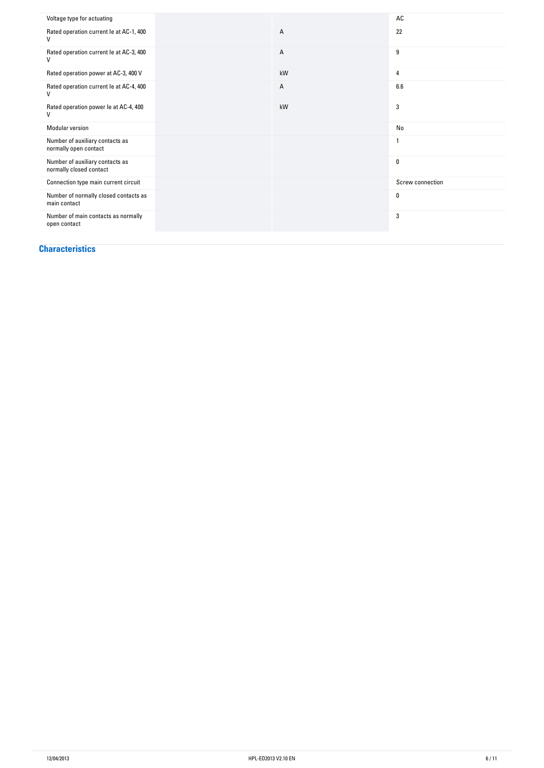| Voltage type for actuating                                 |    | AC               |
|------------------------------------------------------------|----|------------------|
| Rated operation current le at AC-1, 400                    | А  | 22               |
| Rated operation current le at AC-3, 400                    | Α  | $\boldsymbol{9}$ |
| Rated operation power at AC-3, 400 V                       | kW | 4                |
| Rated operation current le at AC-4, 400                    | А  | 6.6              |
| Rated operation power le at AC-4, 400                      | kW | 3                |
| Modular version                                            |    | No               |
| Number of auxiliary contacts as<br>normally open contact   |    |                  |
| Number of auxiliary contacts as<br>normally closed contact |    | $\mathbf{0}$     |
| Connection type main current circuit                       |    | Screw connection |
| Number of normally closed contacts as<br>main contact      |    | 0                |
| Number of main contacts as normally<br>open contact        |    | 3                |

#### **Characteristics**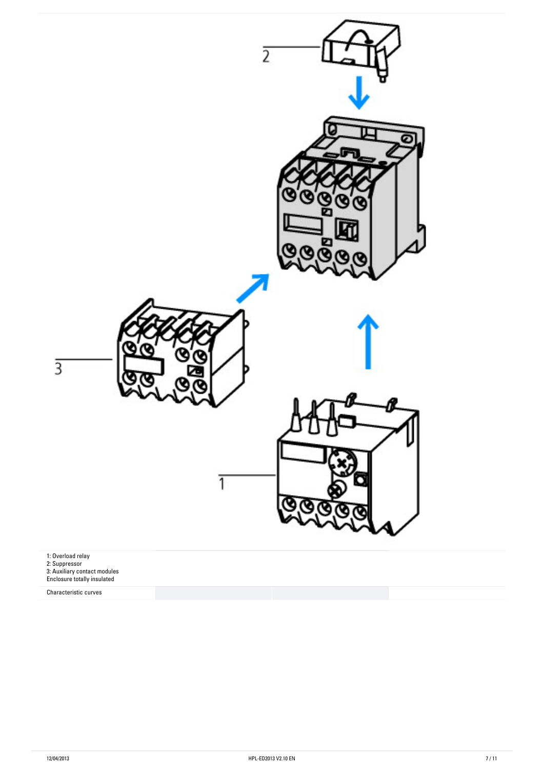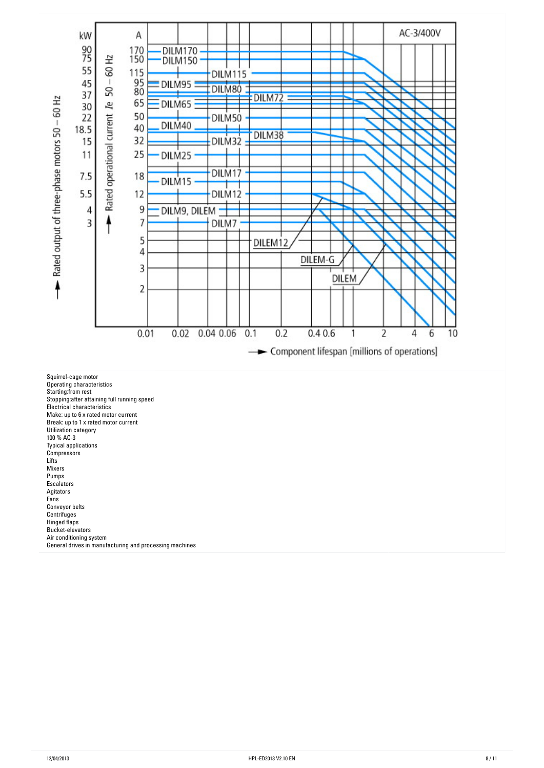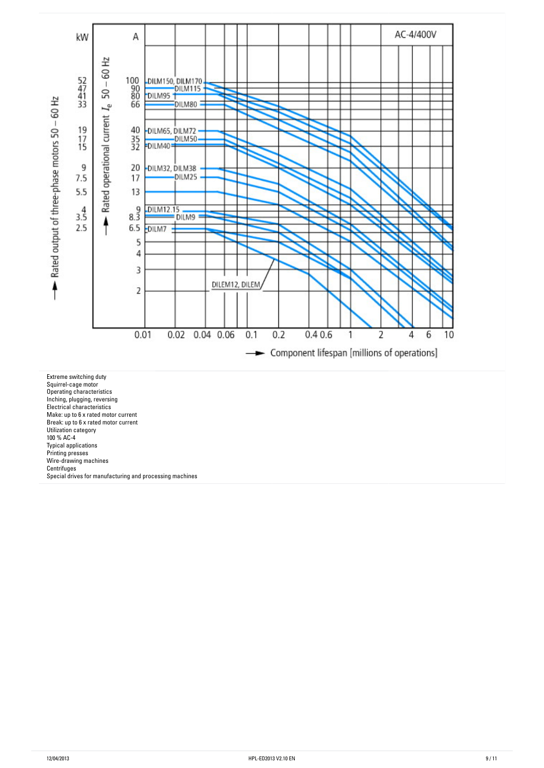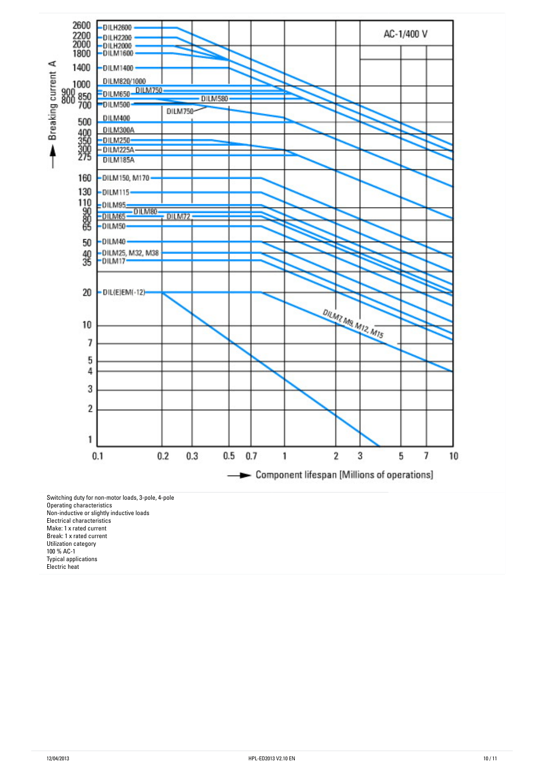